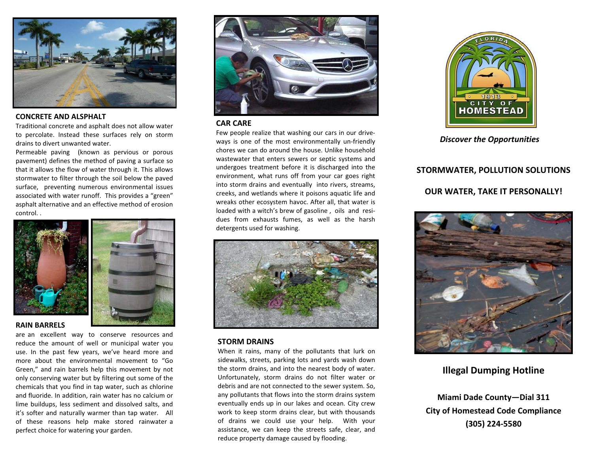

### **CONCRETE-AND-ALSPHALT-**

Traditional concrete and asphalt does not allow water to percolate. Instead these surfaces rely on storm drains to divert unwanted water.

Permeable paving (known as pervious or porous pavement) defines the method of paving a surface so that it allows the flow of water through it. This allows stormwater to filter through the soil below the paved surface, preventing numerous environmental issues associated with water runoff. This provides a "green" asphalt alternative and an effective method of erosion control. .-



#### **RAIN-BARRELS-**

are an excellent way to conserve resources and reduce the amount of well or municipal water you use. In the past few years, we've heard more and more about the environmental movement to "Go-Green," and rain barrels help this movement by not only conserving water but by filtering out some of the chemicals that you find in tap water, such as chlorine and fluoride. In addition, rain water has no calcium or lime-buildups, less sediment and dissolved salts, and it's softer and naturally warmer than tap water. All of these reasons help make stored rainwater a perfect choice for watering your garden.



### **CAR-CARE-**

Few people realize that washing our cars in our driveways is one of the most environmentally un-friendly chores we can do around the house. Unlike household wastewater that enters sewers or septic systems and undergoes treatment before it is discharged into the environment, what runs off from your car goes right into storm drains and eventually into rivers, streams, creeks, and wetlands where it poisons aquatic life and wreaks other ecosystem havoc. After all, that water is loaded with a witch's brew of gasoline, oils and residues from exhausts fumes, as well as the harsh detergents used for washing.



### **STORM-DRAINS-**

When it rains, many of the pollutants that lurk on sidewalks, streets, parking lots and yards wash down the storm drains, and into the nearest body of water. Unfortunately, storm drains do not filter water or debris and are not connected to the sewer system. So, any pollutants that flows into the storm drains system eventually ends up in our lakes and ocean. City crew work to keep storm drains clear, but with thousands of drains we could use your help. With your assistance, we can keep the streets safe, clear, and reduce property damage caused by flooding.



*Discover-the-Opportunities-*

# STORMWATER, POLLUTION SOLUTIONS

# **OUR-WATER,-TAKE-IT-PERSONALLY!-**



# **Illegal-Dumping-Hotline-**

**Miami-Dade-County—Dial-311- City of Homestead Code Compliance (305)-2245580-**